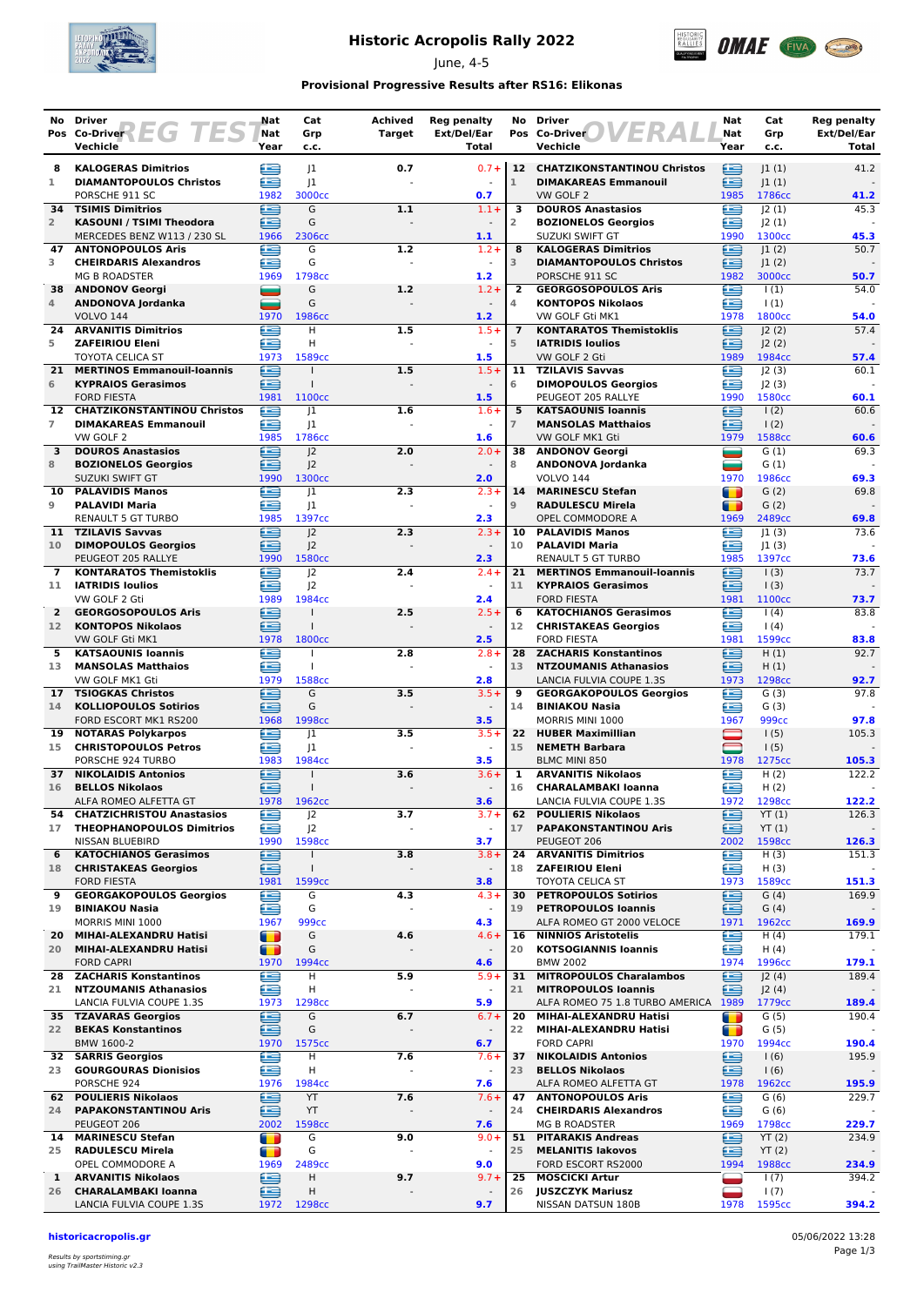

## **Historic Acropolis Rally 2022**

June, 4-5



### **Provisional Progressive Results after RS16: Elikonas**

|                    | No Driver                                                            |    | Nat                              | Cat                                | Achived       | <b>Reg penalty</b>                  |                      | No Driver                                                      | Nat            | Cat                        | <b>Reg penalty</b>   |
|--------------------|----------------------------------------------------------------------|----|----------------------------------|------------------------------------|---------------|-------------------------------------|----------------------|----------------------------------------------------------------|----------------|----------------------------|----------------------|
|                    | EG 7<br>Pos Co-Driver<br>Vechicle                                    | ES | Nat<br>Year                      | Grp<br>c.c.                        | <b>Target</b> | Ext/Del/Ear<br>Total                |                      | Pos Co-Driver<br>Vechicle                                      | Nat<br>Year    | Grp<br>c.c.                | Ext/Del/Ear<br>Total |
| 8                  | <b>KALOGERAS Dimitrios</b>                                           |    | t =                              | 1                                  | 0.7           | $0.7 +$                             |                      | 12 CHATZIKONSTANTINOU Christos                                 | ⊜              | 1(1)                       | 41.2                 |
| 1                  | <b>DIAMANTOPOULOS Christos</b>                                       |    | œ                                | J1<br>3000cc                       |               | 0.7                                 | $\mathbf{1}$         | <b>DIMAKAREAS Emmanouil</b>                                    | ≘              | 1(1)                       |                      |
| 34                 | PORSCHE 911 SC<br><b>TSIMIS Dimitrios</b>                            |    | 1982<br>£                        | G                                  | 1.1           | $1.1 +$                             | 3                    | VW GOLF 2<br><b>DOUROS Anastasios</b>                          | 1985<br>≘      | 1786cc<br> 2(1)            | 41.2<br>45.3         |
| $\overline{2}$     | KASOUNI / TSIMI Theodora                                             |    | œ                                | G                                  |               | $\overline{a}$                      | 2                    | <b>BOZIONELOS Georgios</b>                                     | ≘              | 2(1)                       |                      |
| 47                 | MERCEDES BENZ W113 / 230 SL<br><b>ANTONOPOULOS Aris</b>              |    | 1966<br>œ                        | 2306cc<br>G                        | 1.2           | 1.1<br>$1.2 +$                      | 8                    | SUZUKI SWIFT GT<br><b>KALOGERAS Dimitrios</b>                  | 1990<br>⊟      | 1300cc<br> 1(2)            | 45.3<br>50.7         |
| 3                  | <b>CHEIRDARIS Alexandros</b>                                         |    | £                                | G                                  |               | $\overline{\phantom{a}}$            | 3                    | <b>DIAMANTOPOULOS Christos</b>                                 | œ              | 1(2)                       |                      |
|                    | <b>MG B ROADSTER</b><br>38 ANDONOV Georgi                            |    | 1969<br>and a                    | 1798cc<br>G                        | 1.2           | 1.2<br>$1.2 +$                      | 2                    | PORSCHE 911 SC<br><b>GEORGOSOPOULOS Aris</b>                   | 1982<br>€      | 3000cc<br>$\vert$ (1)      | 50.7<br>54.0         |
| 4                  | ANDONOVA Jordanka                                                    |    | ÷                                | G                                  |               | $\blacksquare$                      | 4                    | <b>KONTOPOS Nikolaos</b>                                       | £              | $\vert$ (1)                |                      |
| 24                 | <b>VOLVO 144</b><br><b>ARVANITIS Dimitrios</b>                       |    | 1970<br>æ                        | 1986cc<br>H                        | 1.5           | 1.2<br>$1.5+$                       | $\overline{7}$       | VW GOLF Gti MK1<br><b>KONTARATOS Themistoklis</b>              | 1978<br>Œ      | 1800cc<br> 2(2)            | 54.0<br>57.4         |
| 5                  | <b>ZAFEIRIOU Eleni</b>                                               |    | œ                                | H                                  |               | $\blacksquare$                      | 5                    | <b>IATRIDIS Ioulios</b>                                        | œ              | J2(2)                      |                      |
| 21                 | <b>TOYOTA CELICA ST</b><br><b>MERTINOS Emmanouil-Ioannis</b>         |    | 1973<br>∈                        | 1589cc<br>$\mathbf{I}$             | 1.5           | 1.5<br>$1.5+$                       | 11                   | VW GOLF 2 Gti<br><b>TZILAVIS Savvas</b>                        | 1989<br>e      | 1984cc<br>J2(3)            | 57.4<br>60.1         |
| 6                  | <b>KYPRAIOS Gerasimos</b>                                            |    | £                                |                                    |               | $\blacksquare$                      | 6                    | <b>DIMOPOULOS Georgios</b>                                     | œ              | J2(3)                      |                      |
| 12                 | <b>FORD FIESTA</b><br><b>CHATZIKONSTANTINOU Christos</b>             |    | 1981<br>e                        | 1100 <sub>cc</sub><br> 1           | 1.6           | 1.5<br>$1.6+$                       | 5                    | PEUGEOT 205 RALLYE<br><b>KATSAOUNIS Ioannis</b>                | 1990<br>≘      | 1580cc<br>$\frac{1(2)}{2}$ | 60.1<br>60.6         |
| $\overline{7}$     | <b>DIMAKAREAS Emmanouil</b>                                          |    | £                                | 1                                  |               |                                     | $\overline{7}$       | <b>MANSOLAS Matthaios</b>                                      | œ              | $\frac{1(2)}{2}$           |                      |
|                    | VW GOLF 2                                                            |    | 1985                             | 1786cc                             |               | 1.6                                 |                      | VW GOLF MK1 Gti                                                | 1979           | 1588cc                     | 60.6                 |
| 3<br>8             | <b>DOUROS Anastasios</b><br><b>BOZIONELOS Georgios</b>               |    | £<br>œ                           | 2<br> 2                            | 2.0           | $2.0 +$                             | 38<br>8              | <b>ANDONOV Georgi</b><br><b>ANDONOVA Jordanka</b>              | ▄<br>_         | G(1)<br>G(1)               | 69.3                 |
|                    | SUZUKI SWIFT GT                                                      |    | 1990                             | 1300cc                             |               | 2.0                                 |                      | <b>VOLVO 144</b>                                               | 1970           | 1986cc                     | 69.3                 |
| 10<br>9            | <b>PALAVIDIS Manos</b><br><b>PALAVIDI Maria</b>                      |    | £<br>œ                           | 1<br>$_{\textrm{\scriptsize{J1}}}$ | 2.3           | $2.3 +$                             | 14<br>$\overline{9}$ | <b>MARINESCU Stefan</b><br><b>RADULESCU Mirela</b>             | m<br>т         | G(2)<br>G(2)               | 69.8                 |
|                    | <b>RENAULT 5 GT TURBO</b>                                            |    | 1985                             | 1397cc                             |               | 2.3                                 |                      | OPEL COMMODORE A                                               | 1969           | 2489cc                     | 69.8                 |
| 11                 | <b>TZILAVIS Savvas</b>                                               |    | ⋐                                | 2                                  | 2.3           | $2.3 +$                             | 10                   | <b>PALAVIDIS Manos</b>                                         | œ              | 1(3)                       | 73.6                 |
| 10                 | <b>DIMOPOULOS Georgios</b><br>PEUGEOT 205 RALLYE                     |    | æ<br>1990                        | J <sup>2</sup><br>1580cc           |               | 2.3                                 | 10                   | <b>PALAVIDI Maria</b><br><b>RENAULT 5 GT TURBO</b>             | œ<br>1985      | 1(3) <br>1397cc            | 73.6                 |
| 7                  | <b>KONTARATOS Themistoklis</b>                                       |    | æ                                | J <sub>2</sub>                     | 2.4           | $2.4 +$                             |                      | 21 MERTINOS Emmanouil-Ioannis                                  | œ              | 1(3)                       | 73.7                 |
| 11                 | <b>IATRIDIS Ioulios</b><br>VW GOLF 2 Gti                             |    | œ<br>1989                        | J <sub>2</sub><br>1984cc           |               | $\sim$<br>2.4                       | 11                   | <b>KYPRAIOS Gerasimos</b><br><b>FORD FIESTA</b>                | ≘<br>1981      | $\vert$ (3)<br>1100cc      | 73.7                 |
| $\overline{2}$     | <b>GEORGOSOPOULOS Aris</b>                                           |    | ≘                                | $\mathbf{I}$                       | 2.5           | $2.5+$                              | 6                    | <b>KATOCHIANOS Gerasimos</b>                                   | £              | $\vert$ (4)                | 83.8                 |
| 12 <sup>2</sup>    | <b>KONTOPOS Nikolaos</b>                                             |    | ≘                                |                                    |               |                                     | 12                   | <b>CHRISTAKEAS Georgios</b><br><b>FORD FIESTA</b>              | £<br>1981      | 1(4)<br>1599cc             |                      |
| 5                  | VW GOLF Gti MK1<br><b>KATSAOUNIS Ioannis</b>                         |    | 1978<br>e                        | 1800 <sub>cc</sub>                 | 2.8           | 2.5<br>$2.8 +$                      | 28                   | <b>ZACHARIS Konstantinos</b>                                   | ∈              | H(1)                       | 83.8<br>92.7         |
| 13                 | <b>MANSOLAS Matthaios</b>                                            |    | æ                                | T                                  |               |                                     | 13                   | <b>NTZOUMANIS Athanasios</b>                                   | ≘              | H(1)                       |                      |
| 17                 | VW GOLF MK1 Gti<br><b>TSIOGKAS Christos</b>                          |    | 1979<br>£                        | 1588cc<br>G                        | 3.5           | 2.8<br>$3.5+$                       | 9                    | LANCIA FULVIA COUPE 1.3S<br><b>GEORGAKOPOULOS Georgios</b>     | 1973<br>£      | 1298cc<br>G(3)             | 92.7<br>97.8         |
| 14                 | <b>KOLLIOPOULOS Sotirios</b>                                         |    | £                                | G                                  |               | $\sim$                              | 14                   | <b>BINIAKOU Nasia</b>                                          | œ              | G(3)                       |                      |
| 19                 | FORD ESCORT MK1 RS200<br><b>NOTARAS Polykarpos</b>                   |    | 1968<br>£                        | 1998 <sub>cc</sub><br> 1           | 3.5           | 3.5<br>$3.5+$                       | 22                   | MORRIS MINI 1000<br><b>HUBER Maximillian</b>                   | 1967           | 999 <sub>cc</sub><br>1(5)  | 97.8<br>105.3        |
| 15                 | <b>CHRISTOPOULOS Petros</b>                                          |    | £                                | J1                                 |               |                                     | 15                   | <b>NEMETH Barbara</b>                                          | $\blacksquare$ | 1(5)                       |                      |
|                    | PORSCHE 924 TURBO                                                    |    | 1983                             | 1984cc                             |               | 3.5                                 |                      | <b>BLMC MINI 850</b>                                           | 1978           | 1275cc                     | 105.3                |
| 37<br>16           | <b>NIKOLAIDIS Antonios</b><br><b>BELLOS Nikolaos</b>                 |    | £<br>Œ                           | $\mathbf{I}$                       | 3.6           | $3.6+$<br>$\blacksquare$            | 1<br>16              | <b>ARVANITIS Nikolaos</b><br><b>CHARALAMBAKI Ioanna</b>        | ≘<br>≘         | H(2)<br>H(2)               | 122.2                |
|                    | ALFA ROMEO ALFETTA GT                                                |    | 1978                             | 1962 <sub>cc</sub>                 |               | 3.6                                 |                      | LANCIA FULVIA COUPE 1.3S                                       | 1972           | 1298cc                     | 122.2                |
| 54<br>17           | <b>CHATZICHRISTOU Anastasios</b><br><b>THEOPHANOPOULOS Dimitrios</b> |    | e<br>£                           | J <sup>2</sup><br>J <sup>2</sup>   | 3.7           | $3.7 +$<br>$\overline{\phantom{a}}$ | 62<br>17             | <b>POULIERIS Nikolaos</b><br><b>PAPAKONSTANTINOU Aris</b>      | ⊜<br>∈         | YT(1)<br>YT(1)             | 126.3                |
|                    | NISSAN BLUEBIRD                                                      |    | 1990                             | 1598cc                             |               | 3.7                                 |                      | PEUGEOT 206                                                    | 2002           | 1598cc                     | 126.3                |
| 6<br>18            | <b>KATOCHIANOS Gerasimos</b>                                         |    | œ                                | $\mathbf{I}$<br>$\mathbf{I}$       | 3.8           | $3.8 +$                             | 24<br>18             | <b>ARVANITIS Dimitrios</b><br><b>ZAFEIRIOU Eleni</b>           | œ              | H(3)                       | 151.3                |
|                    | <b>CHRISTAKEAS Georgios</b><br><b>FORD FIESTA</b>                    |    | ≘<br>1981                        | 1599cc                             |               | 3.8                                 |                      | <b>TOYOTA CELICA ST</b>                                        | œ<br>1973      | H(3)<br>1589cc             | 151.3                |
| 9                  | <b>GEORGAKOPOULOS Georgios</b>                                       |    | œ                                | G                                  | 4.3           | $4.3 +$                             | 30                   | <b>PETROPOULOS Sotirios</b>                                    | ≘              | G(4)                       | 169.9                |
| 19                 | <b>BINIAKOU Nasia</b><br>MORRIS MINI 1000                            |    | e<br>1967                        | G<br>999 <sub>cc</sub>             |               | $\overline{\phantom{a}}$<br>4.3     | 19                   | <b>PETROPOULOS Ioannis</b><br>ALFA ROMEO GT 2000 VELOCE        | ≘<br>1971      | G(4)<br>1962cc             | 169.9                |
|                    | 20 MIHAI-ALEXANDRU Hatisi                                            |    | $\blacksquare$                   | G                                  | 4.6           | $4.6 +$                             | 16                   | <b>NINNIOS Aristotelis</b>                                     | e              | H(4)                       | 179.1                |
| 20                 | MIHAI-ALEXANDRU Hatisi<br><b>FORD CAPRI</b>                          |    | O<br>1970                        | G<br>1994cc                        |               | $\overline{\phantom{a}}$<br>4.6     | 20                   | <b>KOTSOGIANNIS Ioannis</b><br><b>BMW 2002</b>                 | œ<br>1974      | H(4)<br>1996cc             | 179.1                |
|                    | 28 ZACHARIS Konstantinos                                             |    | €                                | Н                                  | 5.9           | $5.9+$                              | 31                   | <b>MITROPOULOS Charalambos</b>                                 | ⊟              | J2(4)                      | 189.4                |
| 21                 | <b>NTZOUMANIS Athanasios</b>                                         |    | ≘                                | Н                                  |               |                                     | 21                   | <b>MITROPOULOS Ioannis</b>                                     | ≘              | J2(4)                      |                      |
|                    | LANCIA FULVIA COUPE 1.3S<br>35 TZAVARAS Georgios                     |    | 1973<br>∈                        | 1298cc<br>G                        | 6.7           | 5.9<br>$6.7 +$                      | 20                   | ALFA ROMEO 75 1.8 TURBO AMERICA 1989<br>MIHAI-ALEXANDRU Hatisi | т              | 1779cc<br>G(5)             | 189.4<br>190.4       |
| 22                 | <b>BEKAS Konstantinos</b>                                            |    | ⊟                                | G                                  |               |                                     | 22                   | MIHAI-ALEXANDRU Hatisi                                         | m              | G(5)                       |                      |
|                    | BMW 1600-2<br>32 SARRIS Georgios                                     |    | 1970<br>€                        | 1575cc<br>н                        | 7.6           | 6.7<br>$7.6+$                       | 37                   | <b>FORD CAPRI</b><br><b>NIKOLAIDIS Antonios</b>                | 1970<br>œ      | 1994cc<br>1(6)             | 190.4<br>195.9       |
| 23                 | <b>GOURGOURAS Dionisios</b>                                          |    | ∈                                | Η                                  | L,            | $\blacksquare$                      | 23                   | <b>BELLOS Nikolaos</b>                                         | ⊟              | 1(6)                       |                      |
|                    | PORSCHE 924<br>62 POULIERIS Nikolaos                                 |    | 1976<br>∈                        | 1984cc<br>YT                       | 7.6           | 7.6<br>$7.6+$                       | 47                   | ALFA ROMEO ALFETTA GT<br><b>ANTONOPOULOS Aris</b>              | 1978<br>œ      | 1962 <sub>cc</sub><br>G(6) | 195.9<br>229.7       |
| 24                 | <b>PAPAKONSTANTINOU Aris</b>                                         |    | £                                | YT                                 |               |                                     | 24                   | <b>CHEIRDARIS Alexandros</b>                                   | £              | G(6)                       |                      |
|                    | PEUGEOT 206                                                          |    | 2002                             | 1598cc                             |               | 7.6                                 |                      | <b>MG B ROADSTER</b>                                           | 1969           | 1798cc                     | 229.7                |
| 14<br>25           | <b>MARINESCU Stefan</b><br><b>RADULESCU Mirela</b>                   |    | $\blacksquare$<br>$\blacksquare$ | G<br>G                             | 9.0           | $9.0 +$<br>$\blacksquare$           | 51<br>25             | <b>PITARAKIS Andreas</b><br><b>MELANITIS lakovos</b>           | ∈<br>≘         | YT(2)<br>YT(2)             | 234.9                |
|                    | OPEL COMMODORE A                                                     |    | 1969                             | 2489cc                             |               | 9.0                                 |                      | FORD ESCORT RS2000                                             | 1994           | 1988cc                     | 234.9                |
| $\mathbf{1}$<br>26 | <b>ARVANITIS Nikolaos</b><br><b>CHARALAMBAKI Ioanna</b>              |    | e<br>€                           | H<br>Η                             | 9.7           | $9.7 +$                             | 25<br>26             | <b>MOSCICKI Artur</b><br><b>JUSZCZYK Mariusz</b>               |                | 1(7)<br>1(7)               | 394.2                |
|                    | LANCIA FULVIA COUPE 1.3S                                             |    | 1972                             | 1298cc                             |               | 9.7                                 |                      | NISSAN DATSUN 180B                                             | 1978           | 1595cc                     | 394.2                |

**historicacropolis.gr** 05/06/2022 13:28

Results by sportstiming.gr using TrailMaster Historic v2.3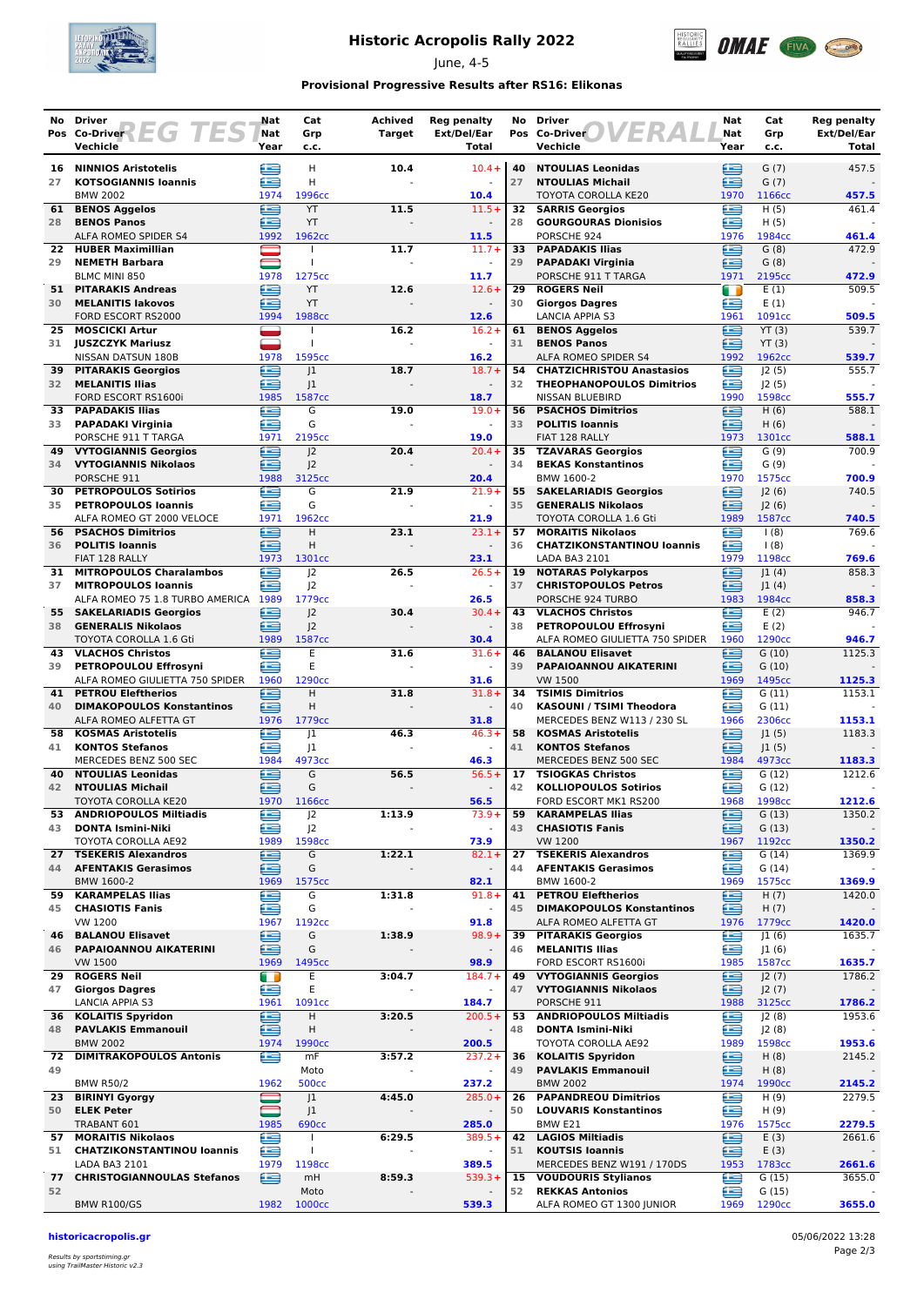

## **Historic Acropolis Rally 2022**

June, 4-5



### **Provisional Progressive Results after RS16: Elikonas**

|           | No Driver                                                            | Nat         | Cat                                  | <b>Achived</b> | <b>Reg penalty</b>               | No       | <b>Driver</b>                                                        | Nat         | Cat                        | Reg penalty          |
|-----------|----------------------------------------------------------------------|-------------|--------------------------------------|----------------|----------------------------------|----------|----------------------------------------------------------------------|-------------|----------------------------|----------------------|
|           | EGH<br>Pos Co-Driver<br>Vechicle                                     | Nat<br>Year | Grp<br>c.c.                          | Target         | Ext/Del/Ear<br>Total             |          | ERA<br>Pos Co-Driver<br>Vechicle                                     | Nat<br>Year | Grp<br>c.c.                | Ext/Del/Ear<br>Total |
| 16        | <b>NINNIOS Aristotelis</b>                                           | ≘           | н                                    | 10.4           | $10.4 +$                         | 40       | <b>NTOULIAS Leonidas</b>                                             | ∈           | G(7)                       | 457.5                |
| 27        | <b>KOTSOGIANNIS Ioannis</b>                                          | æ           | H                                    |                |                                  | 27       | <b>NTOULIAS Michail</b>                                              | £           | G(7)                       |                      |
|           | <b>BMW 2002</b>                                                      | 1974        | 1996cc                               |                | 10.4                             |          | TOYOTA COROLLA KE20                                                  | 1970        | 1166cc                     | 457.5                |
| 61<br>28  | <b>BENOS Aggelos</b><br><b>BENOS Panos</b>                           | £<br>œ      | YT<br>YT                             | 11.5           | $11.5+$                          | 28       | <b>32 SARRIS Georgios</b><br><b>GOURGOURAS Dionisios</b>             | ≘<br>£      | H(5)<br>H(5)               | 461.4                |
|           | ALFA ROMEO SPIDER S4                                                 | 1992        | 1962cc                               |                | 11.5                             |          | PORSCHE 924                                                          | 1976        | 1984cc                     | 461.4                |
| 22        | <b>HUBER Maximillian</b>                                             |             |                                      | 11.7           | $11.7+$                          | 33       | <b>PAPADAKIS Ilias</b>                                               | £           | G(8)                       | 472.9                |
| 29        | <b>NEMETH Barbara</b><br>BLMC MINI 850                               | 1978        | $\mathbf{I}$<br>1275cc               |                | $\omega$<br>11.7                 | 29       | <b>PAPADAKI Virginia</b><br>PORSCHE 911 T TARGA                      | ≘<br>1971   | G(8)<br>2195cc             | 472.9                |
| 51        | <b>PITARAKIS Andreas</b>                                             | ∈           | YT                                   | 12.6           | $12.6+$                          | 29       | <b>ROGERS Neil</b>                                                   | n           | E(1)                       | 509.5                |
| 30        | <b>MELANITIS lakovos</b>                                             | £           | YT                                   |                |                                  | 30       | <b>Giorgos Dagres</b>                                                | ∈           | E(1)                       |                      |
| 25        | FORD ESCORT RS2000<br><b>MOSCICKI Artur</b>                          | 1994        | 1988cc                               | 16.2           | 12.6<br>$16.2 +$                 | 61       | <b>LANCIA APPIA S3</b>                                               | 1961<br>£   | 1091cc<br>YT(3)            | 509.5<br>539.7       |
|           | 31 JUSZCZYK Mariusz                                                  | <b>g</b>    | $\mathbf{I}$                         |                | $\omega$                         | 31       | <b>BENOS Aggelos</b><br><b>BENOS Panos</b>                           | £           | YT(3)                      |                      |
|           | NISSAN DATSUN 180B                                                   | 1978        | 1595cc                               |                | 16.2                             |          | ALFA ROMEO SPIDER S4                                                 | 1992        | 1962cc                     | 539.7                |
| 32        | <b>39 PITARAKIS Georgios</b>                                         | æ<br>£      | 1<br> 1                              | 18.7           | $18.7 +$<br>$\blacksquare$       | 54<br>32 | <b>CHATZICHRISTOU Anastasios</b><br><b>THEOPHANOPOULOS Dimitrios</b> | £<br>œ      | J2(5)                      | 555.7                |
|           | <b>MELANITIS Ilias</b><br>FORD ESCORT RS1600i                        | 1985        | 1587cc                               |                | 18.7                             |          | NISSAN BLUEBIRD                                                      | 1990        | J2(5)<br>1598cc            | 555.7                |
| 33        | <b>PAPADAKIS Ilias</b>                                               | ≘           | G                                    | 19.0           | $19.0+$                          | 56       | <b>PSACHOS Dimitrios</b>                                             | ≘           | H(6)                       | 588.1                |
| 33        | <b>PAPADAKI Virginia</b>                                             | £           | G<br>2195cc                          |                | 19.0                             | 33       | <b>POLITIS Ioannis</b>                                               | ∈           | H(6)                       |                      |
|           | PORSCHE 911 T TARGA<br><b>49 VYTOGIANNIS Georgios</b>                | 1971<br>≘   | 2                                    | 20.4           | $20.4 +$                         |          | FIAT 128 RALLY<br>35 TZAVARAS Georgios                               | 1973<br>œ   | 1301cc<br>G(9)             | 588.1<br>700.9       |
|           | 34 VYTOGIANNIS Nikolaos                                              | æ           | J <sup>2</sup>                       |                |                                  | 34       | <b>BEKAS Konstantinos</b>                                            | œ           | G(9)                       |                      |
|           | PORSCHE 911                                                          | 1988        | 3125cc                               |                | 20.4                             |          | BMW 1600-2                                                           | 1970        | 1575cc                     | 700.9                |
| 30<br>35  | <b>PETROPOULOS Sotirios</b><br><b>PETROPOULOS loannis</b>            | ⋐<br>£      | G<br>G                               | 21.9           | $21.9+$<br>$\blacksquare$        | 55<br>35 | <b>SAKELARIADIS Georgios</b><br><b>GENERALIS Nikolaos</b>            | ∈<br>≘      | J2(6)<br> 2(6)             | 740.5                |
|           | ALFA ROMEO GT 2000 VELOCE                                            | 1971        | 1962cc                               |                | 21.9                             |          | TOYOTA COROLLA 1.6 Gti                                               | 1989        | 1587cc                     | 740.5                |
|           | <b>56 PSACHOS Dimitrios</b>                                          | œ           | H                                    | 23.1           | $23.1 +$                         | 57       | <b>MORAITIS Nikolaos</b>                                             | œ           | $\frac{1(8)}{2}$           | 769.6                |
| 36        | <b>POLITIS Ioannis</b><br>FIAT 128 RALLY                             | ఆ<br>1973   | H<br>1301cc                          |                | 23.1                             | 36       | <b>CHATZIKONSTANTINOU loannis</b><br>LADA BA3 2101                   | £<br>1979   | $\frac{1(8)}{2}$<br>1198cc | 769.6                |
| 31        | <b>MITROPOULOS Charalambos</b>                                       | £           | 2                                    | 26.5           | $26.5+$                          | 19       | <b>NOTARAS Polykarpos</b>                                            | £           | 1(4)                       | 858.3                |
| 37        | <b>MITROPOULOS Ioannis</b>                                           | œ           | 2                                    |                | $\sim$                           | 37       | <b>CHRISTOPOULOS Petros</b>                                          | ≘           | J1(4)                      |                      |
| 55        | ALFA ROMEO 75 1.8 TURBO AMERICA 1989<br><b>SAKELARIADIS Georgios</b> | ∈           | 1779 <sub>cc</sub><br>J <sub>2</sub> | 30.4           | 26.5<br>$30.4 +$                 | 43       | PORSCHE 924 TURBO<br><b>VLACHOS Christos</b>                         | 1983<br>€   | 1984cc<br>E(2)             | 858.3<br>946.7       |
| 38        | <b>GENERALIS Nikolaos</b>                                            | æ           | J <sub>2</sub>                       |                |                                  | 38       | PETROPOULOU Effrosyni                                                | œ           | E(2)                       |                      |
|           | TOYOTA COROLLA 1.6 Gti                                               | 1989        | 1587cc                               |                | 30.4                             |          | ALFA ROMEO GIULIETTA 750 SPIDER                                      | 1960        | 1290cc                     | 946.7                |
| 43<br>39  | <b>VLACHOS Christos</b><br>PETROPOULOU Effrosyni                     | œ<br>£      | E<br>E                               | 31.6           | $31.6+$                          | 46<br>39 | <b>BALANOU Elisavet</b><br>PAPAIOANNOU AIKATERINI                    | £<br>⋐      | G(10)<br>G(10)             | 1125.3               |
|           | ALFA ROMEO GIULIETTA 750 SPIDER                                      | 1960        | 1290cc                               |                | 31.6                             |          | <b>VW 1500</b>                                                       | 1969        | 1495cc                     | 1125.3               |
| 41        | <b>PETROU Eleftherios</b>                                            | £           | Н                                    | 31.8           | $31.8+$                          |          | 34 TSIMIS Dimitrios                                                  | œ           | G(11)                      | 1153.1               |
| 40        | <b>DIMAKOPOULOS Konstantinos</b><br>ALFA ROMEO ALFETTA GT            | £<br>1976   | H<br>1779 <sub>cc</sub>              |                | $\sim$<br>31.8                   | 40       | KASOUNI / TSIMI Theodora<br>MERCEDES BENZ W113 / 230 SL              | £<br>1966   | G(11)<br>2306cc            | 1153.1               |
| 58        | <b>KOSMAS Aristotelis</b>                                            | œ           | 1                                    | 46.3           | $46.3+$                          | 58       | <b>KOSMAS Aristotelis</b>                                            | e           | 1(5)                       | 1183.3               |
| 41        | <b>KONTOS Stefanos</b>                                               | æ           | 1                                    |                | $\blacksquare$                   | 41       | <b>KONTOS Stefanos</b>                                               | £           | 1(5)                       |                      |
| 40        | MERCEDES BENZ 500 SEC<br><b>NTOULIAS Leonidas</b>                    | 1984<br>€   | 4973cc<br>G                          | 56.5           | 46.3<br>$56.5+$                  | 17       | MERCEDES BENZ 500 SEC<br><b>TSIOGKAS Christos</b>                    | 1984<br>≘   | 4973cc<br>G(12)            | 1183.3<br>1212.6     |
| 42        | <b>NTOULIAS Michail</b>                                              | ≘           | G                                    |                |                                  | 42       | <b>KOLLIOPOULOS Sotirios</b>                                         | Œ           | G(12)                      |                      |
|           | <b>TOYOTA COROLLA KE20</b>                                           | 1970        | 1166cc                               |                | 56.5                             |          | FORD ESCORT MK1 RS200                                                | 1968        | 1998cc                     | 1212.6               |
| 53<br>43  | <b>ANDRIOPOULOS Miltiadis</b><br><b>DONTA Ismini-Niki</b>            | ∈<br>£      | J2<br>J <sub>2</sub>                 | 1:13.9         | $73.9+$<br>$\blacksquare$        | 59<br>43 | <b>KARAMPELAS Ilias</b><br><b>CHASIOTIS Fanis</b>                    | ⋐<br>∈      | G(13)<br>G(13)             | 1350.2               |
|           | TOYOTA COROLLA AE92                                                  | 1989        | 1598cc                               |                | 73.9                             |          | VW 1200                                                              | 1967        | 1192cc                     | 1350.2               |
| 27        | <b>TSEKERIS Alexandros</b>                                           | €           | G                                    | 1:22.1         | $82.1 +$                         | 27       | <b>TSEKERIS Alexandros</b>                                           | œ           | G(14)                      | 1369.9               |
| 44        | <b>AFENTAKIS Gerasimos</b><br>BMW 1600-2                             | ⊟<br>1969   | G<br>1575cc                          |                | $\overline{\phantom{a}}$<br>82.1 | 44       | <b>AFENTAKIS Gerasimos</b><br>BMW 1600-2                             | ≘<br>1969   | G(14)<br>1575cc            | 1369.9               |
| 59        | <b>KARAMPELAS Ilias</b>                                              | ⋐           | G                                    | 1:31.8         | $91.8 +$                         | 41       | <b>PETROU Eleftherios</b>                                            | e           | H(7)                       | 1420.0               |
| 45        | <b>CHASIOTIS Fanis</b>                                               | ≘           | G                                    |                | $\overline{\phantom{a}}$         | 45       | <b>DIMAKOPOULOS Konstantinos</b>                                     | ∈           | H(7)                       |                      |
| 46        | VW 1200<br><b>BALANOU Elisavet</b>                                   | 1967<br>£   | 1192cc<br>G                          | 1:38.9         | 91.8<br>$98.9+$                  | 39       | ALFA ROMEO ALFETTA GT<br><b>PITARAKIS Georgios</b>                   | 1976<br>Œ   | 1779cc<br>J1(6)            | 1420.0<br>1635.7     |
| 46        | PAPAIOANNOU AIKATERINI                                               | ≘           | G                                    |                | $\overline{\phantom{a}}$         | 46       | <b>MELANITIS Ilias</b>                                               | œ           | J1(6)                      |                      |
|           | <b>VW 1500</b>                                                       | 1969        | 1495cc                               |                | 98.9                             |          | FORD ESCORT RS1600i                                                  | 1985        | 1587cc                     | 1635.7               |
| 29.<br>47 | <b>ROGERS Neil</b><br><b>Giorgos Dagres</b>                          | O<br>≘      | Ε<br>E                               | 3:04.7         | $184.7+$                         | 49<br>47 | <b>VYTOGIANNIS Georgios</b><br><b>VYTOGIANNIS Nikolaos</b>           | e<br>ఆ      | J2(7)<br>J2(7)             | 1786.2               |
|           | LANCIA APPIA S3                                                      | 1961        | 1091cc                               |                | 184.7                            |          | PORSCHE 911                                                          | 1988        | 3125cc                     | 1786.2               |
|           | 36 KOLAITIS Spyridon                                                 | ⊜           | Н                                    | 3:20.5         | $200.5+$                         | 53       | <b>ANDRIOPOULOS Miltiadis</b>                                        | œ           | J2(8)                      | 1953.6               |
| 48        | <b>PAVLAKIS Emmanouil</b><br><b>BMW 2002</b>                         | £<br>1974   | н<br>1990 <sub>cc</sub>              |                | 200.5                            | 48       | <b>DONTA Ismini-Niki</b><br>TOYOTA COROLLA AE92                      | œ<br>1989   | J2 (8)<br>1598cc           | 1953.6               |
| 72        | <b>DIMITRAKOPOULOS Antonis</b>                                       | œ           | mF                                   | 3:57.2         | $237.2+$                         |          | 36 KOLAITIS Spyridon                                                 | €           | H(8)                       | 2145.2               |
| 49        |                                                                      |             | Moto                                 |                | $\blacksquare$                   | 49       | <b>PAVLAKIS Emmanouil</b>                                            | ≘           | H(8)                       |                      |
|           | <b>BMW R50/2</b><br>23 BIRINYI Gyorgy                                | 1962        | <b>500cc</b><br>J <sub>1</sub>       | 4:45.0         | 237.2<br>$285.0+$                | 26       | <b>BMW 2002</b><br><b>PAPANDREOU Dimitrios</b>                       | 1974<br>£   | 1990 <sub>cc</sub><br>H(9) | 2145.2<br>2279.5     |
| 50        | <b>ELEK Peter</b>                                                    |             | J <sub>1</sub>                       |                | $\overline{\phantom{a}}$         | 50       | <b>LOUVARIS Konstantinos</b>                                         | œ           | H(9)                       |                      |
|           | TRABANT 601                                                          | 1985        | <b>690cc</b>                         |                | 285.0                            |          | BMW E21                                                              | 1976        | 1575cc                     | 2279.5               |
| 57<br>51  | <b>MORAITIS Nikolaos</b><br><b>CHATZIKONSTANTINOU loannis</b>        | G<br>₩      | $\mathbf{I}$                         | 6:29.5         | $389.5+$<br>$\blacksquare$       | 42<br>51 | <b>LAGIOS Miltiadis</b><br><b>KOUTSIS Ioannis</b>                    | €<br>∈      | E(3)<br>E(3)               | 2661.6               |
|           | LADA BA3 2101                                                        | 1979        | 1198 <sub>cc</sub>                   |                | 389.5                            |          | MERCEDES BENZ W191 / 170DS                                           | 1953        | 1783cc                     | 2661.6               |
| 77        | <b>CHRISTOGIANNOULAS Stefanos</b>                                    | ⊟           | mH                                   | 8:59.3         | $539.3+$                         |          | 15 VOUDOURIS Stylianos                                               | €           | G(15)                      | 3655.0               |
| 52        | <b>BMW R100/GS</b>                                                   | 1982        | Moto<br>1000cc                       |                | 539.3                            | 52       | <b>REKKAS Antonios</b><br>ALFA ROMEO GT 1300 JUNIOR                  | £<br>1969   | G(15)<br>1290cc            | 3655.0               |
|           |                                                                      |             |                                      |                |                                  |          |                                                                      |             |                            |                      |

**historicacropolis.gr** 05/06/2022 13:28

Results by sportstiming.gr using TrailMaster Historic v2.3